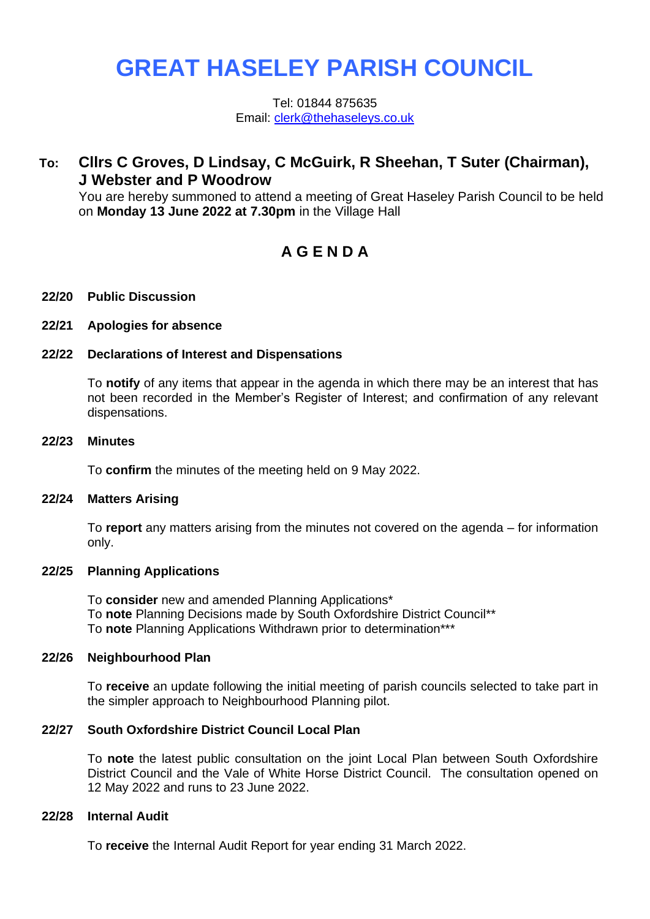# **GREAT HASELEY PARISH COUNCIL**

Tel: 01844 875635 Email: [clerk@thehaseleys.co.uk](mailto:clerk@thehaseleys.co.uk)

## **To: Cllrs C Groves, D Lindsay, C McGuirk, R Sheehan, T Suter (Chairman), J Webster and P Woodrow**

You are hereby summoned to attend a meeting of Great Haseley Parish Council to be held on **Monday 13 June 2022 at 7.30pm** in the Village Hall

# **A G E N D A**

#### **22/20 Public Discussion**

#### **22/21 Apologies for absence**

#### **22/22 Declarations of Interest and Dispensations**

To **notify** of any items that appear in the agenda in which there may be an interest that has not been recorded in the Member's Register of Interest; and confirmation of any relevant dispensations.

#### **22/23 Minutes**

To **confirm** the minutes of the meeting held on 9 May 2022.

#### **22/24 Matters Arising**

To **report** any matters arising from the minutes not covered on the agenda – for information only.

#### **22/25 Planning Applications**

To **consider** new and amended Planning Applications\* To **note** Planning Decisions made by South Oxfordshire District Council\*\* To **note** Planning Applications Withdrawn prior to determination\*\*\*

#### **22/26 Neighbourhood Plan**

To **receive** an update following the initial meeting of parish councils selected to take part in the simpler approach to Neighbourhood Planning pilot.

#### **22/27 South Oxfordshire District Council Local Plan**

To **note** the latest public consultation on the joint Local Plan between South Oxfordshire District Council and the Vale of White Horse District Council. The consultation opened on 12 May 2022 and runs to 23 June 2022.

#### **22/28 Internal Audit**

To **receive** the Internal Audit Report for year ending 31 March 2022.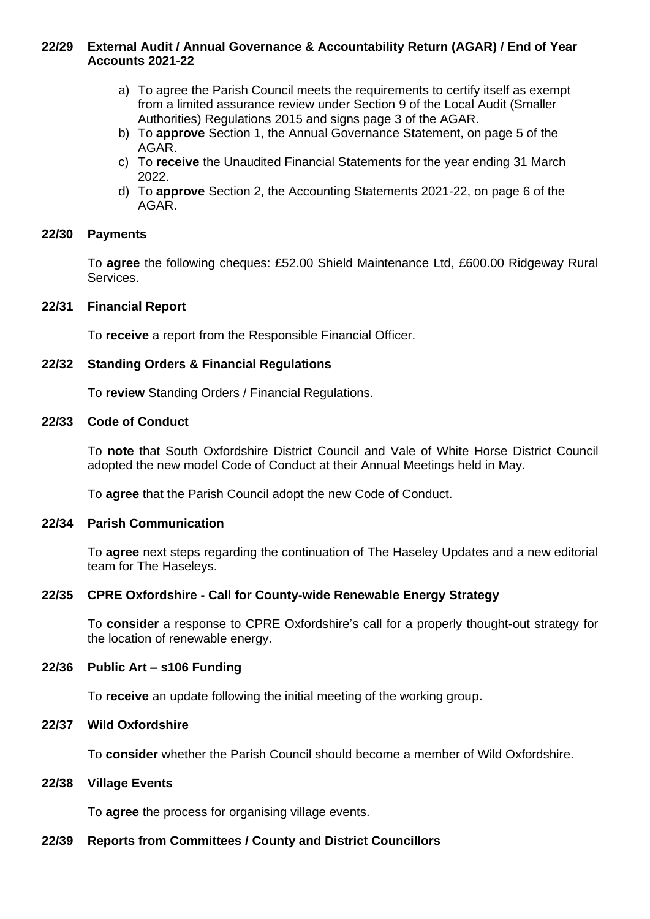#### **22/29 External Audit / Annual Governance & Accountability Return (AGAR) / End of Year Accounts 2021-22**

- a) To agree the Parish Council meets the requirements to certify itself as exempt from a limited assurance review under Section 9 of the Local Audit (Smaller Authorities) Regulations 2015 and signs page 3 of the AGAR.
- b) To **approve** Section 1, the Annual Governance Statement, on page 5 of the AGAR.
- c) To **receive** the Unaudited Financial Statements for the year ending 31 March 2022.
- d) To **approve** Section 2, the Accounting Statements 2021-22, on page 6 of the AGAR.

#### **22/30 Payments**

To **agree** the following cheques: £52.00 Shield Maintenance Ltd, £600.00 Ridgeway Rural Services.

#### **22/31 Financial Report**

To **receive** a report from the Responsible Financial Officer.

#### **22/32 Standing Orders & Financial Regulations**

To **review** Standing Orders / Financial Regulations.

#### **22/33 Code of Conduct**

To **note** that South Oxfordshire District Council and Vale of White Horse District Council adopted the new model Code of Conduct at their Annual Meetings held in May.

To **agree** that the Parish Council adopt the new Code of Conduct.

#### **22/34 Parish Communication**

To **agree** next steps regarding the continuation of The Haseley Updates and a new editorial team for The Haseleys.

#### **22/35 CPRE Oxfordshire - Call for County-wide Renewable Energy Strategy**

To **consider** a response to CPRE Oxfordshire's call for a properly thought-out strategy for the location of renewable energy.

#### **22/36 Public Art – s106 Funding**

To **receive** an update following the initial meeting of the working group.

#### **22/37 Wild Oxfordshire**

To **consider** whether the Parish Council should become a member of Wild Oxfordshire.

#### **22/38 Village Events**

To **agree** the process for organising village events.

### **22/39 Reports from Committees / County and District Councillors**